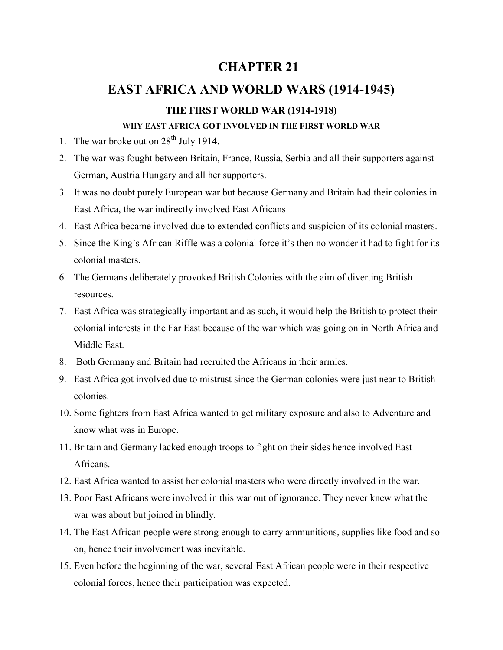# **CHAPTER 21**

# **EAST AFRICA AND WORLD WARS (1914-1945)**

## **THE FIRST WORLD WAR (1914-1918)**

#### **WHY EAST AFRICA GOT INVOLVED IN THE FIRST WORLD WAR**

- 1. The war broke out on  $28<sup>th</sup>$  July 1914.
- 2. The war was fought between Britain, France, Russia, Serbia and all their supporters against German, Austria Hungary and all her supporters.
- 3. It was no doubt purely European war but because Germany and Britain had their colonies in East Africa, the war indirectly involved East Africans
- 4. East Africa became involved due to extended conflicts and suspicion of its colonial masters.
- 5. Since the King's African Riffle was a colonial force it's then no wonder it had to fight for its colonial masters.
- 6. The Germans deliberately provoked British Colonies with the aim of diverting British resources.
- 7. East Africa was strategically important and as such, it would help the British to protect their colonial interests in the Far East because of the war which was going on in North Africa and Middle East.
- 8. Both Germany and Britain had recruited the Africans in their armies.
- 9. East Africa got involved due to mistrust since the German colonies were just near to British colonies.
- 10. Some fighters from East Africa wanted to get military exposure and also to Adventure and know what was in Europe.
- 11. Britain and Germany lacked enough troops to fight on their sides hence involved East Africans.
- 12. East Africa wanted to assist her colonial masters who were directly involved in the war.
- 13. Poor East Africans were involved in this war out of ignorance. They never knew what the war was about but joined in blindly.
- 14. The East African people were strong enough to carry ammunitions, supplies like food and so on, hence their involvement was inevitable.
- 15. Even before the beginning of the war, several East African people were in their respective colonial forces, hence their participation was expected.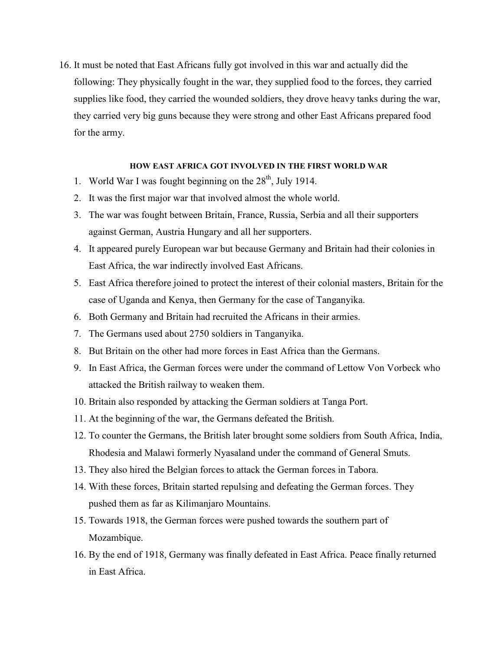16. It must be noted that East Africans fully got involved in this war and actually did the following: They physically fought in the war, they supplied food to the forces, they carried supplies like food, they carried the wounded soldiers, they drove heavy tanks during the war, they carried very big guns because they were strong and other East Africans prepared food for the army.

#### **HOW EAST AFRICA GOT INVOLVED IN THE FIRST WORLD WAR**

- 1. World War I was fought beginning on the  $28<sup>th</sup>$ , July 1914.
- 2. It was the first major war that involved almost the whole world.
- 3. The war was fought between Britain, France, Russia, Serbia and all their supporters against German, Austria Hungary and all her supporters.
- 4. It appeared purely European war but because Germany and Britain had their colonies in East Africa, the war indirectly involved East Africans.
- 5. East Africa therefore joined to protect the interest of their colonial masters, Britain for the case of Uganda and Kenya, then Germany for the case of Tanganyika.
- 6. Both Germany and Britain had recruited the Africans in their armies.
- 7. The Germans used about 2750 soldiers in Tanganyika.
- 8. But Britain on the other had more forces in East Africa than the Germans.
- 9. In East Africa, the German forces were under the command of Lettow Von Vorbeck who attacked the British railway to weaken them.
- 10. Britain also responded by attacking the German soldiers at Tanga Port.
- 11. At the beginning of the war, the Germans defeated the British.
- 12. To counter the Germans, the British later brought some soldiers from South Africa, India, Rhodesia and Malawi formerly Nyasaland under the command of General Smuts.
- 13. They also hired the Belgian forces to attack the German forces in Tabora.
- 14. With these forces, Britain started repulsing and defeating the German forces. They pushed them as far as Kilimanjaro Mountains.
- 15. Towards 1918, the German forces were pushed towards the southern part of Mozambique.
- 16. By the end of 1918, Germany was finally defeated in East Africa. Peace finally returned in East Africa.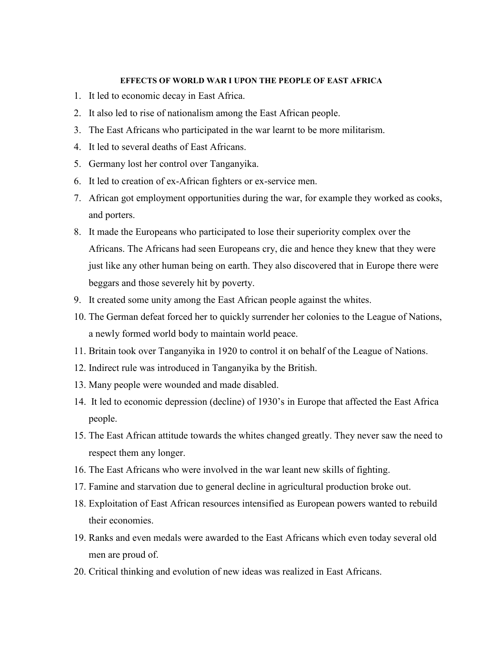#### **EFFECTS OF WORLD WAR I UPON THE PEOPLE OF EAST AFRICA**

- 1. It led to economic decay in East Africa.
- 2. It also led to rise of nationalism among the East African people.
- 3. The East Africans who participated in the war learnt to be more militarism.
- 4. It led to several deaths of East Africans.
- 5. Germany lost her control over Tanganyika.
- 6. It led to creation of ex-African fighters or ex-service men.
- 7. African got employment opportunities during the war, for example they worked as cooks, and porters.
- 8. It made the Europeans who participated to lose their superiority complex over the Africans. The Africans had seen Europeans cry, die and hence they knew that they were just like any other human being on earth. They also discovered that in Europe there were beggars and those severely hit by poverty.
- 9. It created some unity among the East African people against the whites.
- 10. The German defeat forced her to quickly surrender her colonies to the League of Nations, a newly formed world body to maintain world peace.
- 11. Britain took over Tanganyika in 1920 to control it on behalf of the League of Nations.
- 12. Indirect rule was introduced in Tanganyika by the British.
- 13. Many people were wounded and made disabled.
- 14. It led to economic depression (decline) of 1930's in Europe that affected the East Africa people.
- 15. The East African attitude towards the whites changed greatly. They never saw the need to respect them any longer.
- 16. The East Africans who were involved in the war leant new skills of fighting.
- 17. Famine and starvation due to general decline in agricultural production broke out.
- 18. Exploitation of East African resources intensified as European powers wanted to rebuild their economies.
- 19. Ranks and even medals were awarded to the East Africans which even today several old men are proud of.
- 20. Critical thinking and evolution of new ideas was realized in East Africans.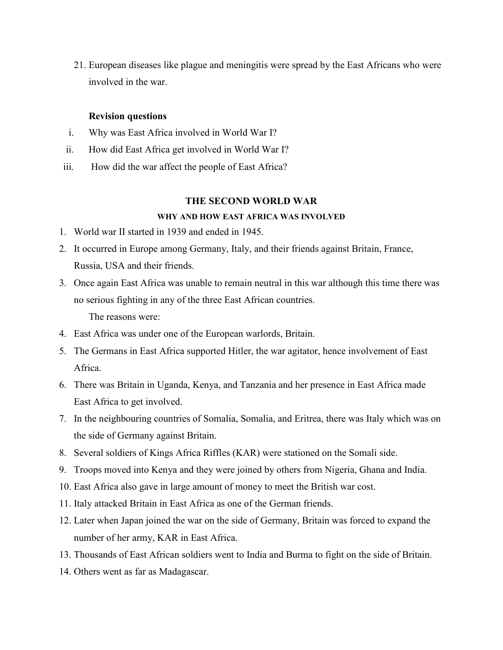21. European diseases like plague and meningitis were spread by the East Africans who were involved in the war.

#### **Revision questions**

- i. Why was East Africa involved in World War I?
- ii. How did East Africa get involved in World War I?
- iii. How did the war affect the people of East Africa?

#### **THE SECOND WORLD WAR**

### **WHY AND HOW EAST AFRICA WAS INVOLVED**

- 1. World war II started in 1939 and ended in 1945.
- 2. It occurred in Europe among Germany, Italy, and their friends against Britain, France, Russia, USA and their friends.
- 3. Once again East Africa was unable to remain neutral in this war although this time there was no serious fighting in any of the three East African countries. The reasons were:
- 4. East Africa was under one of the European warlords, Britain.
- 5. The Germans in East Africa supported Hitler, the war agitator, hence involvement of East Africa.
- 6. There was Britain in Uganda, Kenya, and Tanzania and her presence in East Africa made East Africa to get involved.
- 7. In the neighbouring countries of Somalia, Somalia, and Eritrea, there was Italy which was on the side of Germany against Britain.
- 8. Several soldiers of Kings Africa Riffles (KAR) were stationed on the Somali side.
- 9. Troops moved into Kenya and they were joined by others from Nigeria, Ghana and India.
- 10. East Africa also gave in large amount of money to meet the British war cost.
- 11. Italy attacked Britain in East Africa as one of the German friends.
- 12. Later when Japan joined the war on the side of Germany, Britain was forced to expand the number of her army, KAR in East Africa.
- 13. Thousands of East African soldiers went to India and Burma to fight on the side of Britain.
- 14. Others went as far as Madagascar.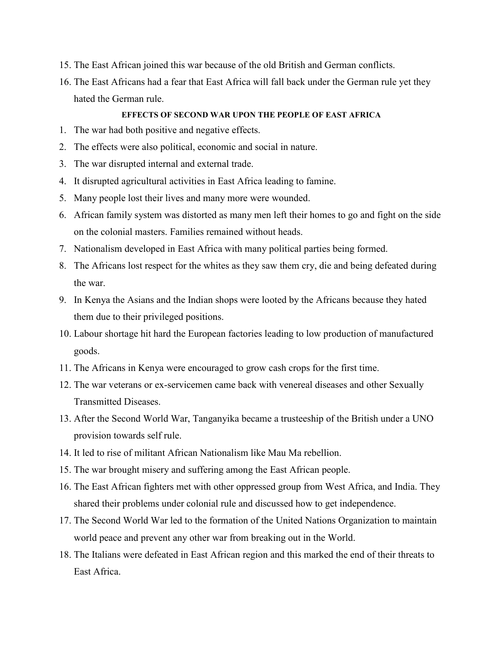- 15. The East African joined this war because of the old British and German conflicts.
- 16. The East Africans had a fear that East Africa will fall back under the German rule yet they hated the German rule.

### **EFFECTS OF SECOND WAR UPON THE PEOPLE OF EAST AFRICA**

- 1. The war had both positive and negative effects.
- 2. The effects were also political, economic and social in nature.
- 3. The war disrupted internal and external trade.
- 4. It disrupted agricultural activities in East Africa leading to famine.
- 5. Many people lost their lives and many more were wounded.
- 6. African family system was distorted as many men left their homes to go and fight on the side on the colonial masters. Families remained without heads.
- 7. Nationalism developed in East Africa with many political parties being formed.
- 8. The Africans lost respect for the whites as they saw them cry, die and being defeated during the war.
- 9. In Kenya the Asians and the Indian shops were looted by the Africans because they hated them due to their privileged positions.
- 10. Labour shortage hit hard the European factories leading to low production of manufactured goods.
- 11. The Africans in Kenya were encouraged to grow cash crops for the first time.
- 12. The war veterans or ex-servicemen came back with venereal diseases and other Sexually Transmitted Diseases.
- 13. After the Second World War, Tanganyika became a trusteeship of the British under a UNO provision towards self rule.
- 14. It led to rise of militant African Nationalism like Mau Ma rebellion.
- 15. The war brought misery and suffering among the East African people.
- 16. The East African fighters met with other oppressed group from West Africa, and India. They shared their problems under colonial rule and discussed how to get independence.
- 17. The Second World War led to the formation of the United Nations Organization to maintain world peace and prevent any other war from breaking out in the World.
- 18. The Italians were defeated in East African region and this marked the end of their threats to East Africa.